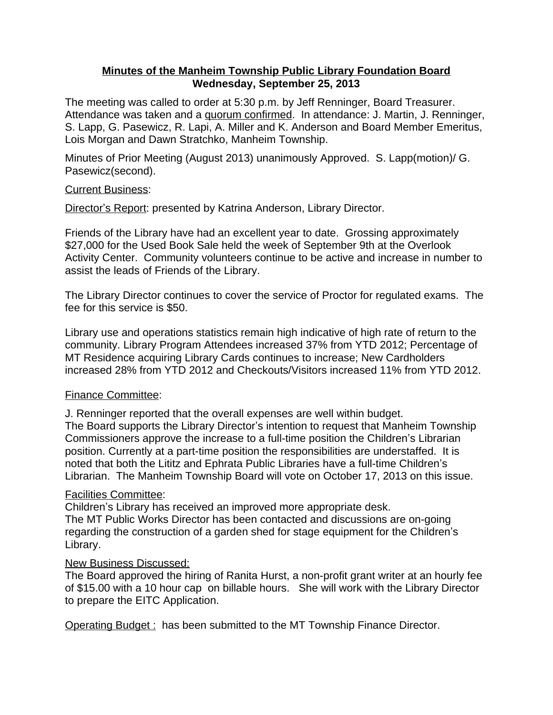## **Minutes of the Manheim Township Public Library Foundation Board Wednesday, September 25, 2013**

The meeting was called to order at 5:30 p.m. by Jeff Renninger, Board Treasurer. Attendance was taken and a quorum confirmed. In attendance: J. Martin, J. Renninger, S. Lapp, G. Pasewicz, R. Lapi, A. Miller and K. Anderson and Board Member Emeritus, Lois Morgan and Dawn Stratchko, Manheim Township.

Minutes of Prior Meeting (August 2013) unanimously Approved. S. Lapp(motion)/ G. Pasewicz(second).

### Current Business:

Director's Report: presented by Katrina Anderson, Library Director.

Friends of the Library have had an excellent year to date. Grossing approximately \$27,000 for the Used Book Sale held the week of September 9th at the Overlook Activity Center. Community volunteers continue to be active and increase in number to assist the leads of Friends of the Library.

The Library Director continues to cover the service of Proctor for regulated exams. The fee for this service is \$50.

Library use and operations statistics remain high indicative of high rate of return to the community. Library Program Attendees increased 37% from YTD 2012; Percentage of MT Residence acquiring Library Cards continues to increase; New Cardholders increased 28% from YTD 2012 and Checkouts/Visitors increased 11% from YTD 2012.

# Finance Committee:

J. Renninger reported that the overall expenses are well within budget.

The Board supports the Library Director's intention to request that Manheim Township Commissioners approve the increase to a full-time position the Children's Librarian position. Currently at a part-time position the responsibilities are understaffed. It is noted that both the Lititz and Ephrata Public Libraries have a full-time Children's Librarian. The Manheim Township Board will vote on October 17, 2013 on this issue.

# Facilities Committee:

Children's Library has received an improved more appropriate desk. The MT Public Works Director has been contacted and discussions are on-going regarding the construction of a garden shed for stage equipment for the Children's Library.

### New Business Discussed:

The Board approved the hiring of Ranita Hurst, a non-profit grant writer at an hourly fee of \$15.00 with a 10 hour cap on billable hours. She will work with the Library Director to prepare the EITC Application.

Operating Budget: has been submitted to the MT Township Finance Director.